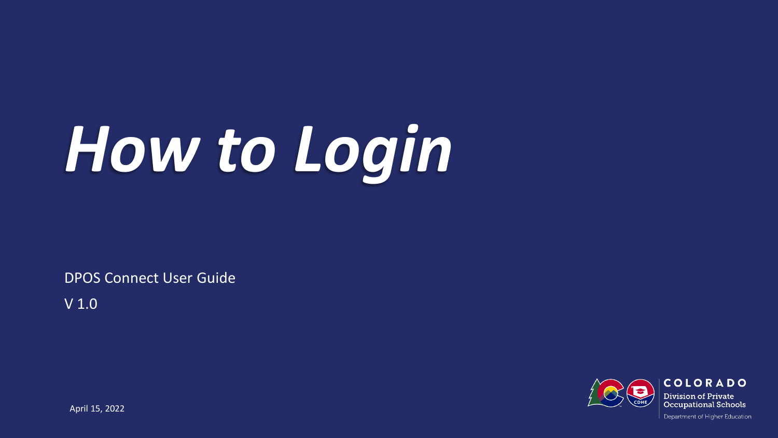# *How to Login*

DPOS Connect User Guide

V 1.0

Department of Higher Education

COLORADO **Division of Private Occupational Schools** 

April 15, 2022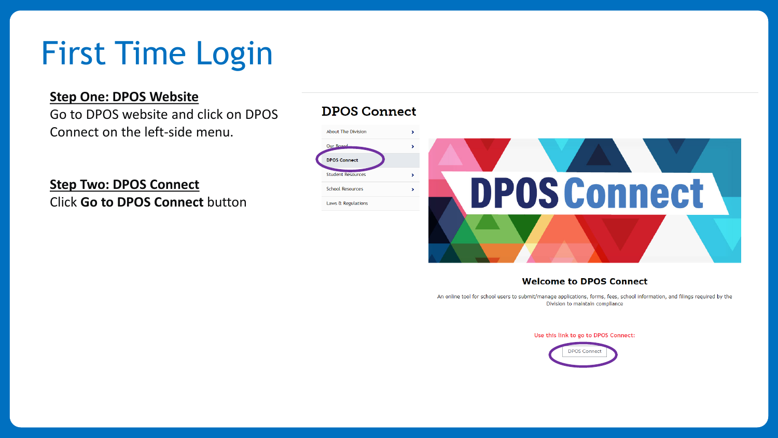# First Time Login

## **Step One: DPOS Website**

Go to DPOS website and click on DPOS Connect on the left-side menu.

**Step Two: DPOS Connect** Click **Go to DPOS Connect** button

#### **DPOS Connect**



#### **Welcome to DPOS Connect**

An online tool for school users to submit/manage applications, forms, fees, school information, and filings required by the Division to maintain compliance

Use this link to go to DPOS Connect:

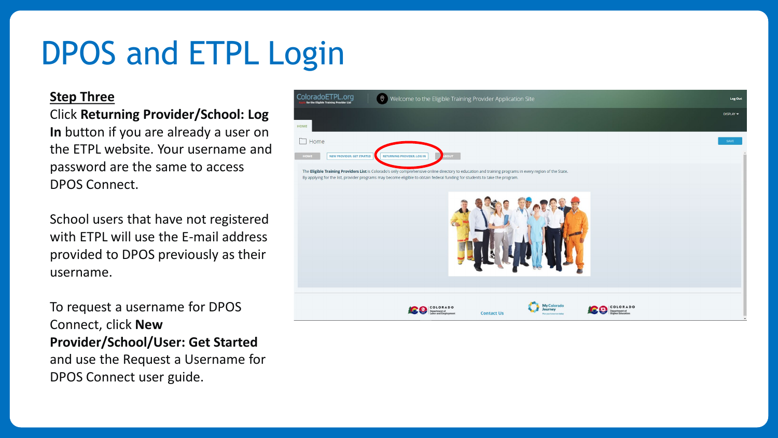# DPOS and ETPL Login

## **Step Three**

Click **Returning Provider/School: Log In** button if you are already a user on the ETPL website. Your username and password are the same to access DPOS Connect.

School users that have not registered with ETPL will use the E-mail address provided to DPOS previously as their username.

To request a username for DPOS Connect, click **New Provider/School/User: Get Started**  and use the Request a Username for DPOS Connect user guide.

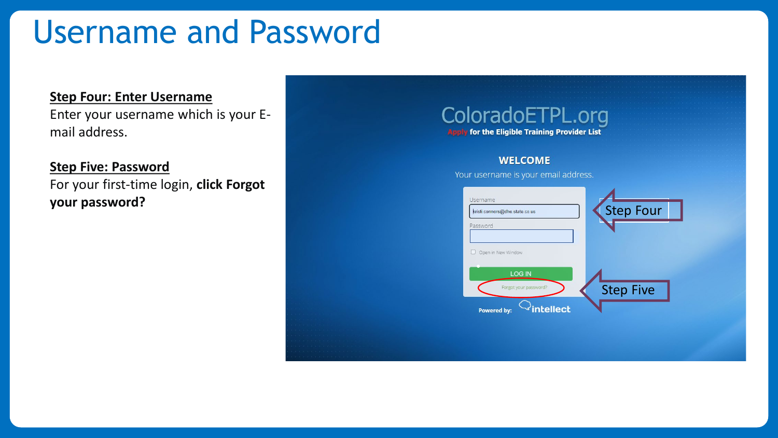# Username and Password

#### **Step Four: Enter Username**

Enter your username which is your Email address.

## **Step Five: Password**

For your first-time login, **click Forgot** 

# ColoradoETPL.org **Apply for the Eligible Training Provider List**

#### **WELCOME**

Your username is your email address.

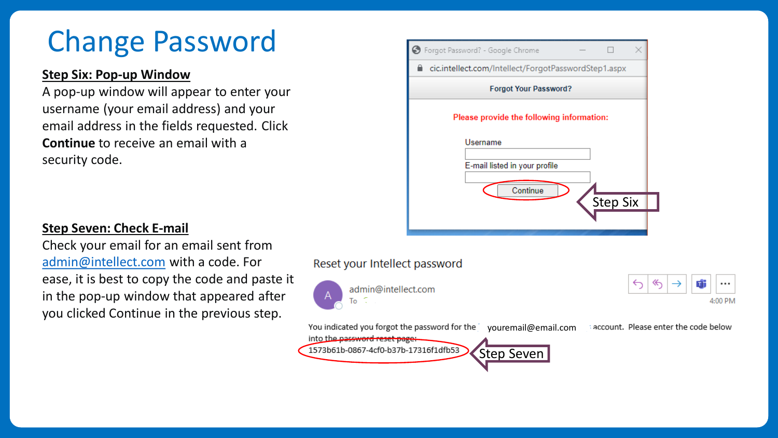# Change Password

# **Step Six: Pop-up Window**

A pop-up window will appear to enter your username (your email address) and your email address in the fields requested. Click **Continue** to receive an email with a security code.

| > Forgot Password? - Google Chrome                   |
|------------------------------------------------------|
| cic.intellect.com/Intellect/ForgotPasswordStep1.aspx |
| <b>Forgot Your Password?</b>                         |
| Please provide the following information:            |
| Username                                             |
| E-mail listed in your profile                        |
| Continue                                             |
| Step Six                                             |
|                                                      |
|                                                      |

# **Step Seven: Check E-mail**

Check your email for an email sent from [admin@intellect.com](mailto:admin@intellect.com) with a code. For ease, it is best to copy the code and paste it in the pop-up window that appeared after you clicked Continue in the previous step.

# Reset your Intellect password